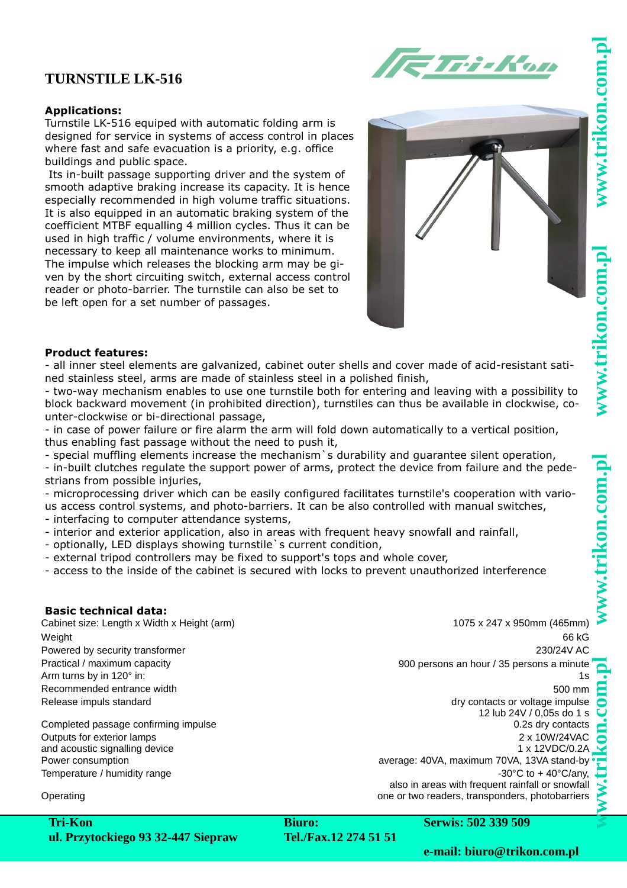w.trikon.com.

# **TURNSTILE LK-516**



## **Applications:**

Turnstile LK-516 equiped with automatic folding arm is designed for service in systems of access control in places where fast and safe evacuation is a priority, e.g. office buildings and public space.

 Its in-built passage supporting driver and the system of smooth adaptive braking increase its capacity. It is hence especially recommended in high volume traffic situations. It is also equipped in an automatic braking system of the coefficient MTBF equalling 4 million cycles. Thus it can be used in high traffic / volume environments, where it is necessary to keep all maintenance works to minimum. The impulse which releases the blocking arm may be given by the short circuiting switch, external access control reader or photo-barrier. The turnstile can also be set to be left open for a set number of passages.



#### **Product features:**

- all inner steel elements are galvanized, cabinet outer shells and cover made of acid-resistant satined stainless steel, arms are made of stainless steel in a polished finish,

- two-way mechanism enables to use one turnstile both for entering and leaving with a possibility to block backward movement (in prohibited direction), turnstiles can thus be available in clockwise, counter-clockwise or bi-directional passage,

- in case of power failure or fire alarm the arm will fold down automatically to a vertical position, thus enabling fast passage without the need to push it,

- special muffling elements increase the mechanism`s durability and guarantee silent operation,

- in-built clutches regulate the support power of arms, protect the device from failure and the pedestrians from possible injuries,

- microprocessing driver which can be easily configured facilitates turnstile's cooperation with various access control systems, and photo-barriers. It can be also controlled with manual switches,

- interfacing to computer attendance systems,

- interior and exterior application, also in areas with frequent heavy snowfall and rainfall,
- optionally, LED displays showing turnstile`s current condition,
- external tripod controllers may be fixed to support's tops and whole cover,

- access to the inside of the cabinet is secured with locks to prevent unauthorized interference

#### **Basic technical data:**

Cabinet size: Length x Width x Height (arm) 1075 x 247 x 950mm (465mm) Weight 66 kG Powered by security transformer 230/24V AC Practical / maximum capacity 900 persons an hour / 35 persons a minute Arm turns by in 120 $^{\circ}$  in: 1s Recommended entrance width 500 mm Release impuls standard dry contacts or voltage impulse

Outputs for exterior lamps and acoustic signalling device

12 lub 24V / 0,05s do 1 s Completed passage confirming impulse 0.2s dry contacts 0.2s dry contacts 2 x 10W/24VAC 1 x 12VDC/0.2A Power consumption average: 40VA, maximum 70VA, 13VA stand-by Temperature / humidity range  $-30^{\circ}$ C to + 40°C/any,

also in areas with frequent rainfall or snowfall Operating Operating one or two readers, transponders, photobarriers

**Tri-Kon ul. Przytockiego 93 32-447 Siepraw**

**Biuro: Tel./Fax.12 274 51 51** **Serwis: 502 339 509**

**e-mail: biuro@trikon.com.pl**